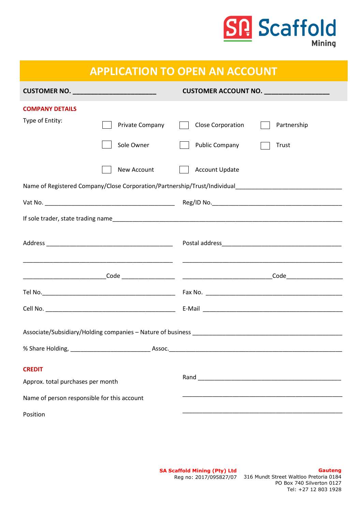

| <b>APPLICATION TO OPEN AN ACCOUNT</b>              |                 |                                          |             |  |
|----------------------------------------------------|-----------------|------------------------------------------|-------------|--|
| CUSTOMER NO. ____________________________          |                 | CUSTOMER ACCOUNT NO. ___________________ |             |  |
| <b>COMPANY DETAILS</b>                             |                 |                                          |             |  |
| Type of Entity:                                    | Private Company | <b>Close Corporation</b>                 | Partnership |  |
|                                                    | Sole Owner      | Public Company                           | Trust       |  |
|                                                    | New Account     | <b>Account Update</b>                    |             |  |
|                                                    |                 |                                          |             |  |
|                                                    |                 |                                          |             |  |
|                                                    |                 |                                          |             |  |
|                                                    |                 |                                          |             |  |
|                                                    |                 |                                          |             |  |
|                                                    |                 |                                          |             |  |
|                                                    |                 |                                          |             |  |
|                                                    |                 |                                          |             |  |
|                                                    |                 |                                          |             |  |
| <b>CREDIT</b><br>Approx. total purchases per month |                 |                                          |             |  |
| Name of person responsible for this account        |                 |                                          |             |  |
| Position                                           |                 |                                          |             |  |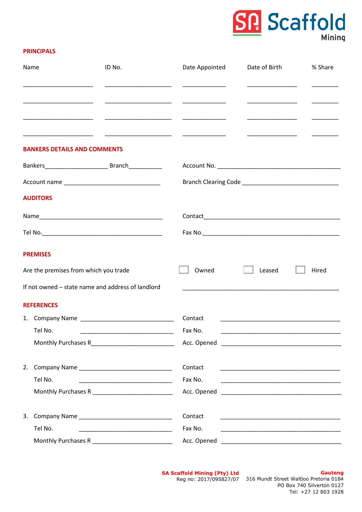# R Scaffold

#### **PRINCIPALS**

|  | Name                                               | ID No. | Date Appointed                                                                                                                                                                                                                       | Date of Birth                                                                                                        | % Share |  |
|--|----------------------------------------------------|--------|--------------------------------------------------------------------------------------------------------------------------------------------------------------------------------------------------------------------------------------|----------------------------------------------------------------------------------------------------------------------|---------|--|
|  |                                                    |        |                                                                                                                                                                                                                                      |                                                                                                                      |         |  |
|  |                                                    |        | <u> 22 mars - 23 mars - 23 mars - 23 mars - 23 mars - 23 mars - 23 mars - 23 mars - 23 mars - 23 mars - 23 mars - 23 mars - 23 mars - 23 mars - 23 mars - 23 mars - 23 mars - 23 mars - 23 mars - 23 mars - 23 mars - 23 mars - </u> |                                                                                                                      |         |  |
|  |                                                    |        |                                                                                                                                                                                                                                      |                                                                                                                      |         |  |
|  | <b>BANKERS DETAILS AND COMMENTS</b>                |        |                                                                                                                                                                                                                                      |                                                                                                                      |         |  |
|  |                                                    |        |                                                                                                                                                                                                                                      |                                                                                                                      |         |  |
|  |                                                    |        |                                                                                                                                                                                                                                      |                                                                                                                      |         |  |
|  | <b>AUDITORS</b>                                    |        |                                                                                                                                                                                                                                      |                                                                                                                      |         |  |
|  |                                                    |        |                                                                                                                                                                                                                                      |                                                                                                                      |         |  |
|  |                                                    |        |                                                                                                                                                                                                                                      |                                                                                                                      |         |  |
|  | <b>PREMISES</b>                                    |        |                                                                                                                                                                                                                                      |                                                                                                                      |         |  |
|  | Are the premises from which you trade              |        | Owned                                                                                                                                                                                                                                | Leased                                                                                                               | Hired   |  |
|  | If not owned – state name and address of landlord  |        |                                                                                                                                                                                                                                      |                                                                                                                      |         |  |
|  | <b>REFERENCES</b>                                  |        |                                                                                                                                                                                                                                      |                                                                                                                      |         |  |
|  |                                                    |        | Contact                                                                                                                                                                                                                              |                                                                                                                      |         |  |
|  | Tel No.                                            |        | Fax No.                                                                                                                                                                                                                              |                                                                                                                      |         |  |
|  | Monthly Purchases R_____________________________   |        |                                                                                                                                                                                                                                      |                                                                                                                      |         |  |
|  |                                                    |        | Contact                                                                                                                                                                                                                              | <u> 1989 - Johann John Harry, mars eta bainar eta baina eta baina eta baina eta baina eta baina eta baina eta ba</u> |         |  |
|  | Tel No.                                            |        | Fax No.                                                                                                                                                                                                                              |                                                                                                                      |         |  |
|  | Monthly Purchases R_____________________________   |        |                                                                                                                                                                                                                                      |                                                                                                                      |         |  |
|  |                                                    |        | Contact                                                                                                                                                                                                                              | <u> 2000 - Jan James James James James James James James James James James James James James James James James J</u> |         |  |
|  | Tel No.                                            |        | Fax No.                                                                                                                                                                                                                              |                                                                                                                      |         |  |
|  | Monthly Purchases R ______________________________ |        |                                                                                                                                                                                                                                      |                                                                                                                      |         |  |

**SA Scaffold Mining (Pty) Ltd**

**Gauteng** Reg no: 2017/095827/07 316 Mundt Street Waltloo Pretoria 0184 PO Box 740 Silverton 0127 Tel: +27 12 803 1928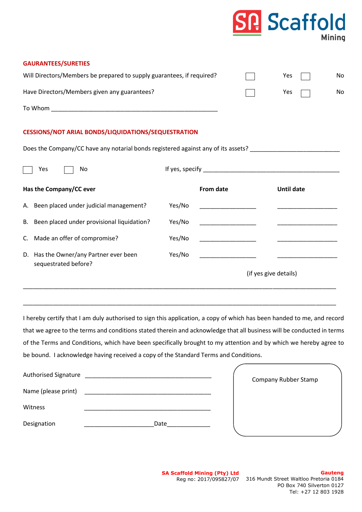|                                                                                   |        |                                               |                       | <b>Scattold</b>                                                                                                        | Mining |
|-----------------------------------------------------------------------------------|--------|-----------------------------------------------|-----------------------|------------------------------------------------------------------------------------------------------------------------|--------|
| <b>GAURANTEES/SURETIES</b>                                                        |        |                                               |                       |                                                                                                                        |        |
| Will Directors/Members be prepared to supply guarantees, if required?             |        |                                               |                       | Yes                                                                                                                    | No     |
| Have Directors/Members given any guarantees?                                      |        |                                               |                       | Yes                                                                                                                    | No     |
|                                                                                   |        |                                               |                       |                                                                                                                        |        |
| <b>CESSIONS/NOT ARIAL BONDS/LIQUIDATIONS/SEQUESTRATION</b>                        |        |                                               |                       |                                                                                                                        |        |
| Does the Company/CC have any notarial bonds registered against any of its assets? |        |                                               |                       |                                                                                                                        |        |
| Yes<br>No                                                                         |        |                                               |                       |                                                                                                                        |        |
| Has the Company/CC ever                                                           |        | <b>From date</b>                              |                       | <b>Until date</b>                                                                                                      |        |
| A. Been placed under judicial management?                                         | Yes/No | <u> 1989 - Johann Barbara, martin basa</u>    |                       |                                                                                                                        |        |
| Been placed under provisional liquidation?<br>В.                                  | Yes/No | <u> 1989 - Johann Barn, fransk politik (</u>  |                       |                                                                                                                        |        |
| Made an offer of compromise?<br>C.                                                | Yes/No |                                               |                       |                                                                                                                        |        |
| D. Has the Owner/any Partner ever been<br>sequestrated before?                    | Yes/No | <u> 1990 - Johann Barnett, fransk politik</u> |                       | <u> Alexandria (Carlo Carlo Carlo Carlo Carlo Carlo Carlo Carlo Carlo Carlo Carlo Carlo Carlo Carlo Carlo Carlo Ca</u> |        |
|                                                                                   |        |                                               | (if yes give details) |                                                                                                                        |        |

I hereby certify that I am duly authorised to sign this application, a copy of which has been handed to me, and record that we agree to the terms and conditions stated therein and acknowledge that all business will be conducted in terms of the Terms and Conditions, which have been specifically brought to my attention and by which we hereby agree to be bound. I acknowledge having received a copy of the Standard Terms and Conditions.

\_\_\_\_\_\_\_\_\_\_\_\_\_\_\_\_\_\_\_\_\_\_\_\_\_\_\_\_\_\_\_\_\_\_\_\_\_\_\_\_\_\_\_\_\_\_\_\_\_\_\_\_\_\_\_\_\_\_\_\_\_\_\_\_\_\_\_\_\_\_\_\_\_\_\_\_\_\_\_\_\_\_\_\_\_\_\_\_\_\_\_\_\_\_

\_\_\_\_\_\_\_\_\_\_\_\_\_\_\_\_\_\_\_\_\_\_\_\_\_\_\_\_\_\_\_\_\_\_\_\_\_\_\_\_\_\_\_\_\_\_\_\_\_\_\_\_\_\_\_\_\_\_\_\_\_\_\_\_\_\_\_\_\_\_\_\_\_\_\_\_\_\_\_\_\_\_\_\_\_\_\_\_\_\_\_\_\_\_

| <b>Authorised Signature</b> |      | <b>Company Rubber Stamp</b> |
|-----------------------------|------|-----------------------------|
| Name (please print)         |      |                             |
| Witness                     |      |                             |
| Designation                 | Date |                             |

**SA Scaffold Mining (Pty) Ltd** Reg no: 2017/095827/07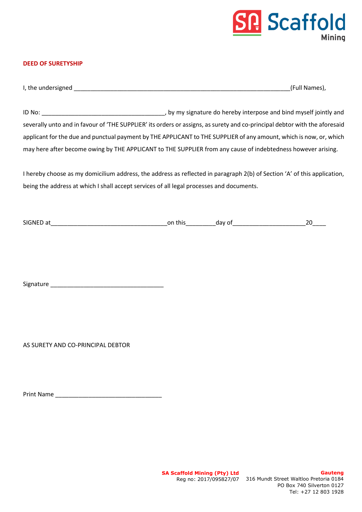### **Scaffold Mining**

#### **DEED OF SURETYSHIP**

| I, the undersigned |  | Names |
|--------------------|--|-------|
|--------------------|--|-------|

ID No: \_\_\_\_\_\_\_\_\_\_\_\_\_\_\_\_\_\_\_\_\_\_\_\_\_\_\_\_\_\_\_\_\_\_\_\_\_, by my signature do hereby interpose and bind myself jointly and severally unto and in favour of 'THE SUPPLIER' its orders or assigns, as surety and co-principal debtor with the aforesaid applicant for the due and punctual payment by THE APPLICANT to THE SUPPLIER of any amount, which is now, or, which may here after become owing by THE APPLICANT to THE SUPPLIER from any cause of indebtedness however arising.

I hereby choose as my domicilium address, the address as reflected in paragraph 2(b) of Section 'A' of this application, being the address at which I shall accept services of all legal processes and documents.

| <b>SIGNED</b><br>$\sim$<br>a<br>__ | or<br>$+1.1$<br>uns<br>__ | -<br>…av r | -<br>-- |
|------------------------------------|---------------------------|------------|---------|
|                                    |                           |            |         |

Signature \_\_\_\_\_\_\_\_\_\_\_\_\_\_\_\_\_\_\_\_\_\_\_\_\_\_\_\_\_\_\_\_\_\_

AS SURETY AND CO-PRINCIPAL DEBTOR

Print Name \_\_\_\_\_\_\_\_\_\_\_\_\_\_\_\_\_\_\_\_\_\_\_\_\_\_\_\_\_\_\_\_

**SA Scaffold Mining (Pty) Ltd**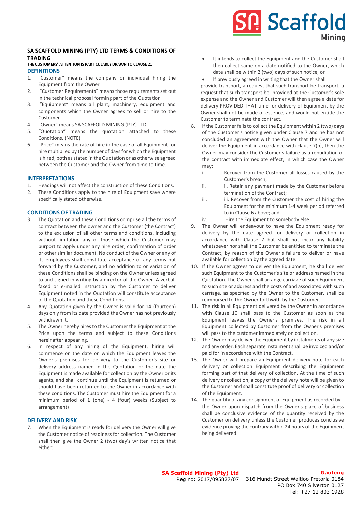### **Scaffold Minina**

#### **SA SCAFFOLD MINING (PTY) LTD TERMS & CONDITIONS OF TRADING**

#### **THE CUSTOMERS' ATTENTION IS PARTICULARLY DRAWN TO CLAUSE 21 DEFINITIONS**

- 1. "Customer" means the company or individual hiring the Equipment from the Owner
- 2. "Customer Requirements" means those requirements set out in the technical proposal forming part of the Quotation
- 3. "Equipment" means all plant, machinery, equipment and components which the Owner agrees to sell or hire to the Customer
- 4. "Owner" means SA SCAFFOLD MINING (PTY) LTD
- 5. "Quotation" means the quotation attached to these Conditions. (NOTE)
- 6. "Price" means the rate of hire in the case of all Equipment for hire multiplied by the number of days for which the Equipment is hired, both as stated in the Quotation or as otherwise agreed between the Customer and the Owner from time to time.

#### **INTERPRETATIONS**

- 1. Headings will not affect the construction of these Conditions.
- 2. These Conditions apply to the hire of Equipment save where specifically stated otherwise.

#### **CONDITIONS OF TRADING**

- 3. The Quotation and these Conditions comprise all the terms of contract between the owner and the Customer (the Contract) to the exclusion of all other terms and conditions, including without limitation any of those which the Customer may purport to apply under any hire order, confirmation of order or other similar document. No conduct of the Owner or any of its employees shall constitute acceptance of any terms put forward by the Customer, and no addition to or variation of these Conditions shall be binding on the Owner unless agreed to and signed in writing by a director of the Owner. A verbal, faxed or e-mailed instruction by the Customer to deliver Equipment noted in the Quotation will constitute acceptance of the Quotation and these Conditions.
- 4. Any Quotation given by the Owner is valid for 14 (fourteen) days only from its date provided the Owner has not previously withdrawn it.
- 5. The Owner hereby hires to the Customer the Equipment at the Price upon the terms and subject to these Conditions hereinafter appearing.
- 6. In respect of any hiring of the Equipment, hiring will commence on the date on which the Equipment leaves the Owner's premises for delivery to the Customer's site or delivery address named in the Quotation or the date the Equipment is made available for collection by the Owner or its agents, and shall continue until the Equipment is returned or should have been returned to the Owner in accordance with these conditions. The Customer must hire the Equipment for a minimum period of 1 (one) - 4 (four) weeks (Subject to arrangement)

#### **DELIVERY AND RISK**

7. When the Equipment is ready for delivery the Owner will give the Customer notice of readiness for collection. The Customer shall then give the Owner 2 (two) day's written notice that either:

- It intends to collect the Equipment and the Customer shall then collect same on a date notified to the Owner, which date shall be within 2 (two) days of such notice, or
	- If previously agreed in writing that the Owner shall

provide transport, a request that such transport be transport, a request that such transport be provided at the Customer's sole expense and the Owner and Customer will then agree a date for delivery PROVIDED THAT time for delivery of Equipment by the Owner shall not be made of essence, and would not entitle the Customer to terminate the contract.

- 8. If the Customer fails to collect the Equipment within 2 (two) days of the Customer's notice given under Clause 7 and he has not concluded an agreement with the Owner that the Owner will deliver the Equipment in accordance with clause 7(b), then the Owner may consider the Customer's failure as a repudiation of the contract with immediate effect, in which case the Owner may:
	- i. Recover from the Customer all losses caused by the Customer's breach;
	- ii. ii. Retain any payment made by the Customer before termination of the Contract;
	- iii. iii. Recover from the Customer the cost of hiring the Equipment for the minimum 1-4 week period referred to in Clause 6 above; and
	- iv. Hire the Equipment to somebody else.
- 9. The Owner will endeavour to have the Equipment ready for delivery by the date agreed for delivery or collection in accordance with Clause 7 but shall not incur any liability whatsoever nor shall the Customer be entitled to terminate the Contract, by reason of the Owner's failure to deliver or have available for collection by the agreed date.
- 10. If the Owner agrees to deliver the Equipment, he shall deliver such Equipment to the Customer's site or address named in the Quotation. The Owner shall arrange carriage of such Equipment to such site or address and the costs of and associated with such carriage, as specified by the Owner to the Customer, shall be reimbursed to the Owner forthwith by the Customer.
- 11. The risk in all Equipment delivered by the Owner in accordance with Clause 10 shall pass to the Customer as soon as the Equipment leaves the Owner's premises. The risk in all Equipment collected by Customer from the Owner's premises will pass to the customer immediately on collection.
- 12. The Owner may deliver the Equipment by instalments of any size and any order. Each separate instalment shall be invoiced and/or paid for in accordance with the Contract.
- 13. The Owner will prepare an Equipment delivery note for each delivery or collection Equipment describing the Equipment forming part of that delivery of collection. At the time of such delivery or collection, a copy of the delivery note will be given to the Customer and shall constitute proof of delivery or collection of the Equipment.
- 14. The quantity of any consignment of Equipment as recorded by the Owner upon dispatch from the Owner's place of business shall be conclusive evidence of the quantity received by the Customer on delivery unless the Customer produces conclusive evidence proving the contrary within 24 hours of the Equipment being delivered.

**SA Scaffold Mining (Pty) Ltd** Reg no: 2017/095827/07

### **Gauteng**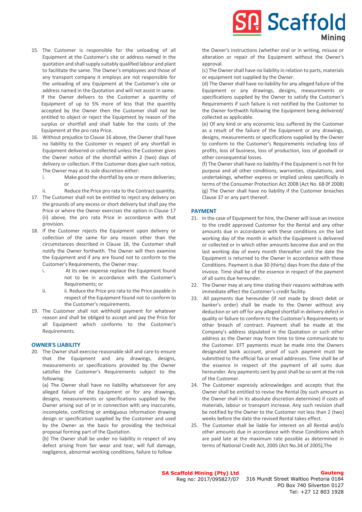**Scaffold** Minina

- 15. The Customer is responsible for the unloading of all Equipment at the Customer's site or address named in the quotation and shallsupply suitably qualified labour and plant to facilitate the same. The Owner's employees and those of any transport company it employs are not responsible for the unloading of any Equipment at the Customer's site or address named in the Quotation and will not assist in same. If the Owner delivers to the Customer a quantity of Equipment of up to 5% more of less that the quantity accepted by the Owner then the Customer shall not be entitled to object or reject the Equipment by reason of the surplus or shortfall and shall liable for the costs of the Equipment at the pro rata Price.
- 16. Without prejudice to Clause 16 above, the Owner shall have no liability to the Customer in respect of any shortfall in Equipment delivered or collected unless the Customer gives the Owner notice of the shortfall within 2 (two) days of delivery or collection. If the Customer does give such notice, The Owner may at its sole discretion either:
	- i. Make good the shortfall by one or more deliveries; or
	- ii. Reduce the Price pro rata to the Contract quantity.
- 17. The Customer shall not be entitled to reject any delivery on the grounds of any excess or short delivery but shall pay the Price or where the Owner exercises the option in Clause 17 (ii) above, the pro rata Price in accordance with that provision.
- 18. If the Customer rejects the Equipment upon delivery or collection of the same for any reason other than the circumstances described in Clause 18, the Customer shall notify the Owner forthwith. The Owner will then examine the Equipment and if any are found not to conform to the Customer's Requirements, the Owner may:
	- i. At its own expense replace the Equipment found not to be in accordance with the Customer's Requirements; or
	- ii. ii. Reduce the Price pro rata to the Price payable in respect of the Equipment found not to conform to the Customer's requirements.
- 19. The Customer shall not withhold payment for whatever reason and shall be obliged to accept and pay the Price for all Equipment which conforms to the Customer's Requirements.

#### **OWNER'S LIABILITY**

20. The Owner shall exercise reasonable skill and care to ensure that the Equipment and any drawings, designs, measurements or specifications provided by the Owner satisfies the Customer's Requirements subject to the following:

(a) The Owner shall have no liability whatsoever for any alleged failure of the Equipment or for any drawings, designs, measurements or specifications supplied by the Owner arising out of or in connection with any inaccurate, incomplete, conflicting or ambiguous information drawing design or specification supplied by the Customer and used by the Owner as the basis for providing the technical proposal forming part of the Quotation.

(b) The Owner shall be under no liability in respect of any defect arising from fair wear and tear, will full damage, negligence, abnormal working conditions, failure to follow

the Owner's instructions (whether oral or in writing, misuse or alteration or repair of the Equipment without the Owner's approval.

(c) The Owner shall have no liability in relation to parts, materials or equipment not supplied by the Owner.

(d) The Owner shall have no liability for any alleged failure of the Equipment or any drawings, designs, measurements or specifications supplied by the Owner to satisfy the Customer's Requirements if such failure is not notified by the Customer to the Owner forthwith following the Equipment being delivered/ collected as applicable.

(e) Of any kind or any economic loss suffered by the Customer as a result of the failure of the Equipment or any drawings, designs, measurements or specifications supplied by the Owner to conform to the Customer's Requirements including loss of profits, loss of business, loss of production, loss of goodwill or other consequential losses.

(f) The Owner shall have no liability if the Equipment is not fit for purpose and all other conditions, warranties, stipulations, and undertakings, whether express or implied unless specifically in terms of the Consumer Protection Act 2008 (Act No. 68 0f 2008) (g) The Owner shall have no liability if the Customer breaches Clause 37 or any part thereof.

#### **PAYMENT**

- 21. In the case of Equipment for hire, the Owner will issue an invoice to the credit approved Customer for the Rental and any other amounts due in accordance with these conditions on the last working day of the month in which the Equipment is delivered or collected or in which other amounts become due and on the last working day of every month thereafter until the date the Equipment is returned to the Owner in accordance with these Conditions. Payment is due 30 (thirty) days from the date of the invoice. Time shall be of the essence in respect of the payment of all sums due hereunder.
- 22. The Owner may at any time stating their reasons withdraw with immediate effect the Customer's credit facility.
- 23. All payments due hereunder (if not made by direct debit or banker's order) shall be made to the Owner without any deduction or set-off for any alleged shortfall in delivery defect in quality or failure to conform to the Customer's Requirements or other breach of contract. Payment shall be made at the Company's address stipulated in the Quotation or such other address as the Owner may from time to time communicate to the Customer. EFT payments must be made into the Owners designated bank account, proof of such payment must be submitted to the official fax or email addresses. Time shall be of the essence in respect of the payment of all sums due hereunder. Any payments sent by post shall be so sent at the risk of the Customer.
- 24. The Customer expressly acknowledges and accepts that the Owner shall be entitled to revise the Rental (by such amount as the Owner shall in its absolute discretion determine) if costs of materials, labour or transport increase. Any such revision shall be notified by the Owner to the Customer not less than 2 (two) weeks before the date the revised Rental takes effect.
- 25. The Customer shall be liable for interest on all Rental and/o other amounts due in accordance with these Conditions which are paid late at the maximum rate possible as determined in terms of National Credit Act, 2005 (Act No.34 of 2005),The

#### **Gauteng**

**SA Scaffold Mining (Pty) Ltd** Reg no: 2017/095827/07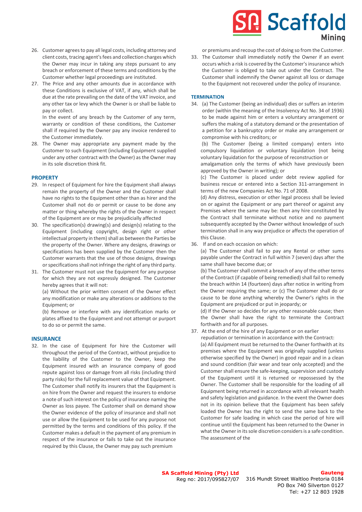- 26. Customer agrees to pay all legal costs, including attorney and client costs, tracing agent's fees and collection charges which the Owner may incur in taking any steps pursuant to any breach or enforcement of these terms and conditions by the Customer whether legal proceedings are instituted.
- 27. The Price and any other amounts due in accordance with these Conditions is exclusive of VAT, if any, which shall be due at the rate prevailing on the date of the VAT invoice, and any other tax or levy which the Owner is or shall be liable to pay or collect.

In the event of any breach by the Customer of any term, warranty or condition of these conditions, the Customer shall if required by the Owner pay any invoice rendered to the Customer immediately.

28. The Owner may appropriate any payment made by the Customer to such Equipment (including Equipment supplied under any other contract with the Owner) as the Owner may in its sole discretion think fit.

#### **PROPERTY**

- 29. In respect of Equipment for hire the Equipment shall always remain the property of the Owner and the Customer shall have no rights to the Equipment other than as hirer and the Customer shall not do or permit or cause to be done any matter or thing whereby the rights of the Owner in respect of the Equipment are or may be prejudicially affected
- 30. The specification(s) drawing(s) and design(s) relating to the Equipment (including copyright, design right or other intellectual property in them) shall as between the Parties be the property of the Owner. Where any designs, drawings or specifications has been supplied by the Customer then the Customer warrants that the use of those designs, drawings or specifications shall not infringe the right of any third party.
- 31. The Customer must not use the Equipment for any purpose for which they are not expressly designed. The Customer hereby agrees that it will not:

(a) Without the prior written consent of the Owner effect any modification or make any alterations or additions to the Equipment; or

(b) Remove or interfere with any identification marks or plates affixed to the Equipment and not attempt or purport to do so or permit the same.

#### **INSURANCE**

32. In the case of Equipment for hire the Customer will throughout the period of the Contract, without prejudice to the liability of the Customer to the Owner, keep the Equipment insured with an insurance company of good repute against loss or damage from all risks (including third party risks) for the full replacement value of that Equipment. The Customer shall notify its insurers that the Equipment is on hire from the Owner and request the insurers to endorse a note of such interest on the policy of insurance naming the Owner as loss payee. The Customer shall on demand show the Owner evidence of the policy of insurance and shall not use or allow the Equipment to be used for any purpose not permitted by the terms and conditions of this policy. If the Customer makes a default in the payment of any premium in respect of the insurance or fails to take out the insurance required by this Clause, the Owner may pay such premium

# **Scaffold** Minina

or premiums and recoup the cost of doing so from the Customer.

33. The Customer shall immediately notify the Owner if an event occurs which a risk is covered by the Customer's insurance which the Customer is obliged to take out under the Contract. The Customer shall indemnify the Owner against all loss or damage to the Equipment not recovered under the policy of insurance.

#### **TERMINATION**

34. (a) The Customer (being an individual) dies or suffers an interim order (within the meaning of the Insolvency Act No. 34 of 1936) to be made against him or enters a voluntary arrangement or suffers the making of a statutory demand or the presentation of a petition for a bankruptcy order or make any arrangement or compromise with his creditors; or

(b) The Customer (being a limited company) enters into compulsory liquidation or voluntary liquidation (not being voluntary liquidation for the purpose of reconstruction or

amalgamation only the terms of which have previously been approved by the Owner in writing); or

(c) The Customer is placed under debt review applied for business rescue or entered into a Section 311-arrangement in terms of the new Companies Act No. 71 of 2008.

(d) Any distress, execution or other legal process shall be levied on or against the Equipment or any part thereof or against any Premises where the same may be: then any hire constituted by the Contract shall terminate without notice and no payment subsequently accepted by the Owner without knowledge of such termination shall in any way prejudice or affects the operation of this Clause.

36. If and on each occasion on which:

(a) The Customer shall fail to pay any Rental or other sums payable under the Contract in full within 7 (seven) days after the same shall have become due; or

(b) The Customer shall commit a breach of any of the other terms of the Contract (if capable of being remedied) shall fail to remedy the breach within 14 (fourteen) days after notice in writing from the Owner requiring the same; or (c) The Customer shall do or cause to be done anything whereby the Owner's rights in the Equipment are prejudiced or put in jeopardy; or

(d) If the Owner so decides for any other reasonable cause; then the Owner shall have the right to terminate the Contract forthwith and for all purposes.

37. At the end of the hire of any Equipment or on earlier

 repudiation or termination in accordance with the Contract: (a) All Equipment must be returned to the Owner forthwith at its premises where the Equipment was originally supplied (unless otherwise specified by the Owner) in good repair and in a clean and sound condition (fair wear and tear only accepted) and the Customer shall ensure the safe-keeping, supervision and custody of the Equipment until it is returned or repossessed by the Owner. The Customer shall be responsible for the loading of all Equipment being returned in accordance with all relevant health and safety legislation and guidance. In the event the Owner does not in its opinion believe that the Equipment has been safely loaded the Owner has the right to send the same back to the Customer for safe loading in which case the period of hire will continue until the Equipment has been returned to the Owner in what the Owner in its sole discretion considers is a safe condition. The assessment of the

**SA Scaffold Mining (Pty) Ltd** Reg no: 2017/095827/07

#### **Gauteng**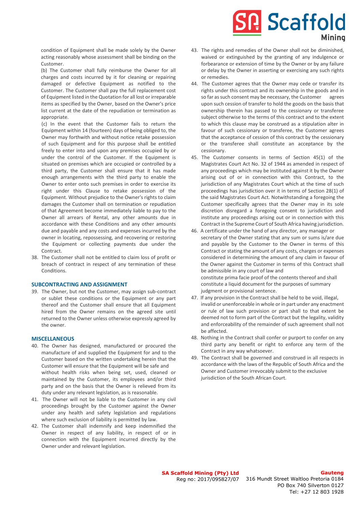## **Scaffold** Minina

condition of Equipment shall be made solely by the Owner acting reasonably whose assessment shall be binding on the Customer.

(b) The Customer shall fully reimburse the Owner for all charges and costs incurred by it for cleaning or repairing damaged or defective Equipment as notified to the Customer. The Customer shall pay the full replacement cost of Equipment listed in the Quotation for all lost or irreparable items as specified by the Owner, based on the Owner's price list current at the date of the repudiation or termination as appropriate.

(c) In the event that the Customer fails to return the Equipment within 14 (fourteen) days of being obliged to, the Owner may forthwith and without notice retake possession of such Equipment and for this purpose shall be entitled freely to enter into and upon any premises occupied by or under the control of the Customer. If the Equipment is situated on premises which are occupied or controlled by a third party, the Customer shall ensure that it has made enough arrangements with the third party to enable the Owner to enter onto such premises in order to exercise its right under this Clause to retake possession of the Equipment. Without prejudice to the Owner's rights to claim damages the Customer shall on termination or repudiation of that Agreement become immediately liable to pay to the Owner all arrears of Rental, any other amounts due in accordance with these Conditions and any other amounts due and payable and any costs and expenses incurred by the owner in locating, repossessing, and recovering or restoring the Equipment or collecting payments due under the Contract.

38. The Customer shall not be entitled to claim loss of profit or breach of contract in respect of any termination of these Conditions.

#### **SUBCONTRACTING AND ASSIGNMENT**

39. The Owner, but not the Customer, may assign sub-contract or sublet these conditions or the Equipment or any part thereof and the Customer shall ensure that all Equipment hired from the Owner remains on the agreed site until returned to the Owner unless otherwise expressly agreed by the owner.

#### **MISCELLANEOUS**

- 40. The Owner has designed, manufactured or procured the manufacture of and supplied the Equipment for and to the Customer based on the written undertaking herein that the Customer will ensure that the Equipment will be safe and without health risks when being set, used, cleaned or maintained by the Customer, its employees and/or third party and on the basis that the Owner is relieved from its duty under any relevant legislation, as is reasonable.
- 41. The Owner will not be liable to the Customer in any civil proceedings brought by the Customer against the Owner under any health and safety legislation and regulations where such exclusion of liability is permitted by law.
- 42. The Customer shall indemnify and keep indemnified the Owner in respect of any liability, in respect of or in connection with the Equipment incurred directly by the Owner under and relevant legislation.
- 43. The rights and remedies of the Owner shall not be diminished, waived or extinguished by the granting of any indulgence or forbearance or extension of time by the Owner or by any failure or delay by the Owner in asserting or exercising any such rights or remedies.
- 44. The Customer agrees that the Owner may cede or transfer its rights under this contract and its ownership in the goods and in so far as such consent may be necessary, the Customer agrees upon such cession of transfer to hold the goods on the basis that ownership therein has passed to the cessionary or transferee subject otherwise to the terms of this contract and to the extent to which this clause may be construed as a stipulation alter in favour of such cessionary or transferee, the Customer agrees that the acceptance of cession of this contract by the cessionary or the transferee shall constitute an acceptance by the cessionary.
- 45. The Customer consents in terms of Section 45(1) of the Magistrates Court Act No. 32 of 1944 as amended in respect of any proceedings which may be instituted against it by the Owner arising out of or in connection with this Contract, to the jurisdiction of any Magistrates Court which at the time of such proceedings has jurisdiction over it in terms of Section 28(1) of the said Magistrates Court Act. Notwithstanding a foregoing the Customer specifically agrees that the Owner may in its sole discretion disregard a foregoing consent to jurisdiction and institute any proceedings arising out or in connection with this Contract in the Supreme Court of South Africa having jurisdiction.
- 46. A certificate under the hand of any director, any manager or secretary of the Owner stating that any sum or sums is/are due and payable by the Customer to the Owner in terms of this Contract or stating the amount of any costs, charges or expenses considered in determining the amount of any claim in favour of the Owner against the Customer in terms of this Contract shall be admissible in any court of law and constitute prima facie proof of the contents thereof and shall constitute a liquid document for the purposes of summary judgment or provisional sentence.
- 47. If any provision in the Contract shall be held to be void, illegal, invalid or unenforceable in whole or in part under any enactment or rule of law such provision or part shall to that extent be deemed not to form part of the Contract but the legality, validity and enforceability of the remainder of such agreement shall not be affected.
- 48. Nothing in the Contract shall confer or purport to confer on any third party any benefit or right to enforce any term of the Contract in any way whatsoever.
- 49. The Contract shall be governed and construed in all respects in accordance with the laws of the Republic of South Africa and the Owner and Customer irrevocably submit to the exclusive jurisdiction of the South African Court.

### **Gauteng**